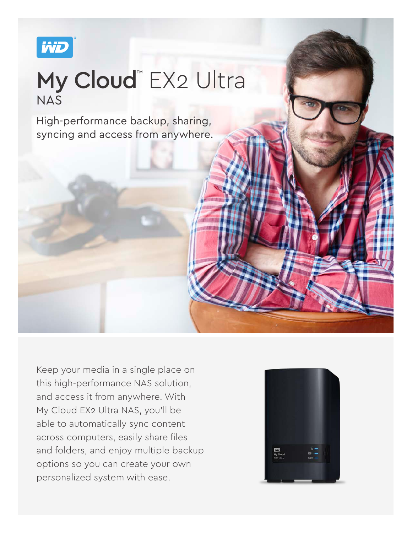

## My Cloud™ EX2 Ultra NAS

High-performance backup, sharing, syncing and access from anywhere.

Keep your media in a single place on this high-performance NAS solution, and access it from anywhere. With My Cloud EX2 Ultra NAS, you'll be able to automatically sync content across computers, easily share files and folders, and enjoy multiple backup options so you can create your own personalized system with ease.